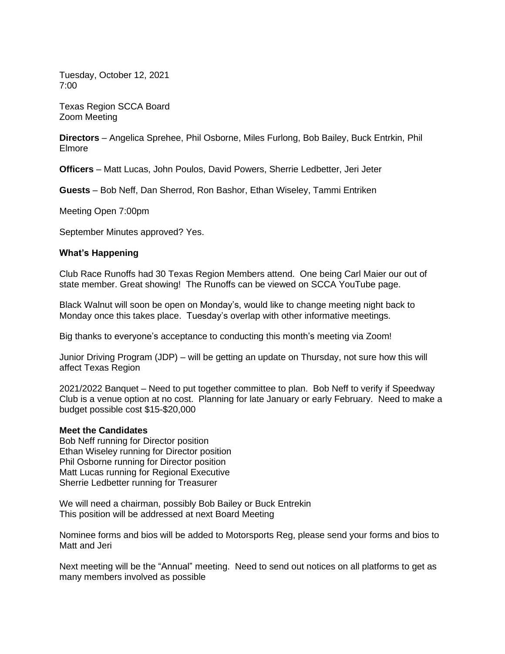Tuesday, October 12, 2021 7:00

Texas Region SCCA Board Zoom Meeting

**Directors** – Angelica Sprehee, Phil Osborne, Miles Furlong, Bob Bailey, Buck Entrkin, Phil Elmore

**Officers** – Matt Lucas, John Poulos, David Powers, Sherrie Ledbetter, Jeri Jeter

**Guests** – Bob Neff, Dan Sherrod, Ron Bashor, Ethan Wiseley, Tammi Entriken

Meeting Open 7:00pm

September Minutes approved? Yes.

#### **What's Happening**

Club Race Runoffs had 30 Texas Region Members attend. One being Carl Maier our out of state member. Great showing! The Runoffs can be viewed on SCCA YouTube page.

Black Walnut will soon be open on Monday's, would like to change meeting night back to Monday once this takes place. Tuesday's overlap with other informative meetings.

Big thanks to everyone's acceptance to conducting this month's meeting via Zoom!

Junior Driving Program (JDP) – will be getting an update on Thursday, not sure how this will affect Texas Region

2021/2022 Banquet – Need to put together committee to plan. Bob Neff to verify if Speedway Club is a venue option at no cost. Planning for late January or early February. Need to make a budget possible cost \$15-\$20,000

#### **Meet the Candidates**

Bob Neff running for Director position Ethan Wiseley running for Director position Phil Osborne running for Director position Matt Lucas running for Regional Executive Sherrie Ledbetter running for Treasurer

We will need a chairman, possibly Bob Bailey or Buck Entrekin This position will be addressed at next Board Meeting

Nominee forms and bios will be added to Motorsports Reg, please send your forms and bios to Matt and Jeri

Next meeting will be the "Annual" meeting. Need to send out notices on all platforms to get as many members involved as possible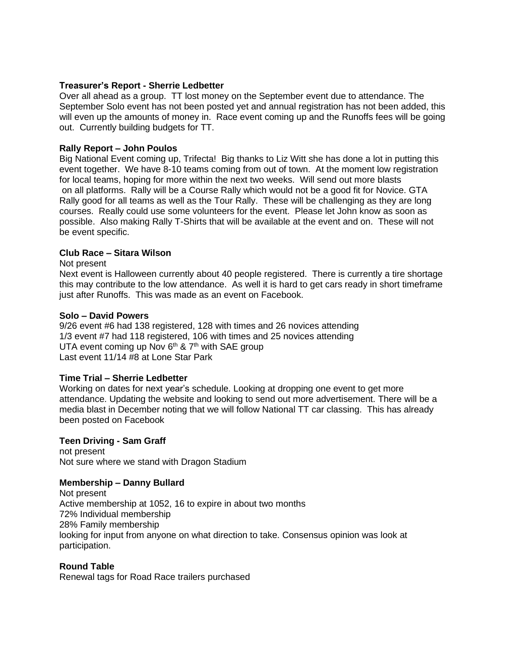### **Treasurer's Report - Sherrie Ledbetter**

Over all ahead as a group. TT lost money on the September event due to attendance. The September Solo event has not been posted yet and annual registration has not been added, this will even up the amounts of money in. Race event coming up and the Runoffs fees will be going out. Currently building budgets for TT.

# **Rally Report – John Poulos**

Big National Event coming up, Trifecta! Big thanks to Liz Witt she has done a lot in putting this event together. We have 8-10 teams coming from out of town. At the moment low registration for local teams, hoping for more within the next two weeks. Will send out more blasts on all platforms. Rally will be a Course Rally which would not be a good fit for Novice. GTA Rally good for all teams as well as the Tour Rally. These will be challenging as they are long courses. Really could use some volunteers for the event. Please let John know as soon as possible. Also making Rally T-Shirts that will be available at the event and on. These will not be event specific.

### **Club Race – Sitara Wilson**

#### Not present

Next event is Halloween currently about 40 people registered. There is currently a tire shortage this may contribute to the low attendance. As well it is hard to get cars ready in short timeframe just after Runoffs. This was made as an event on Facebook.

#### **Solo – David Powers**

9/26 event #6 had 138 registered, 128 with times and 26 novices attending 1/3 event #7 had 118 registered, 106 with times and 25 novices attending UTA event coming up Nov  $6<sup>th</sup>$  & 7<sup>th</sup> with SAE group Last event 11/14 #8 at Lone Star Park

# **Time Trial – Sherrie Ledbetter**

Working on dates for next year's schedule. Looking at dropping one event to get more attendance. Updating the website and looking to send out more advertisement. There will be a media blast in December noting that we will follow National TT car classing. This has already been posted on Facebook

# **Teen Driving - Sam Graff**

not present Not sure where we stand with Dragon Stadium

# **Membership – Danny Bullard**

Not present Active membership at 1052, 16 to expire in about two months 72% Individual membership 28% Family membership looking for input from anyone on what direction to take. Consensus opinion was look at participation.

#### **Round Table**

Renewal tags for Road Race trailers purchased